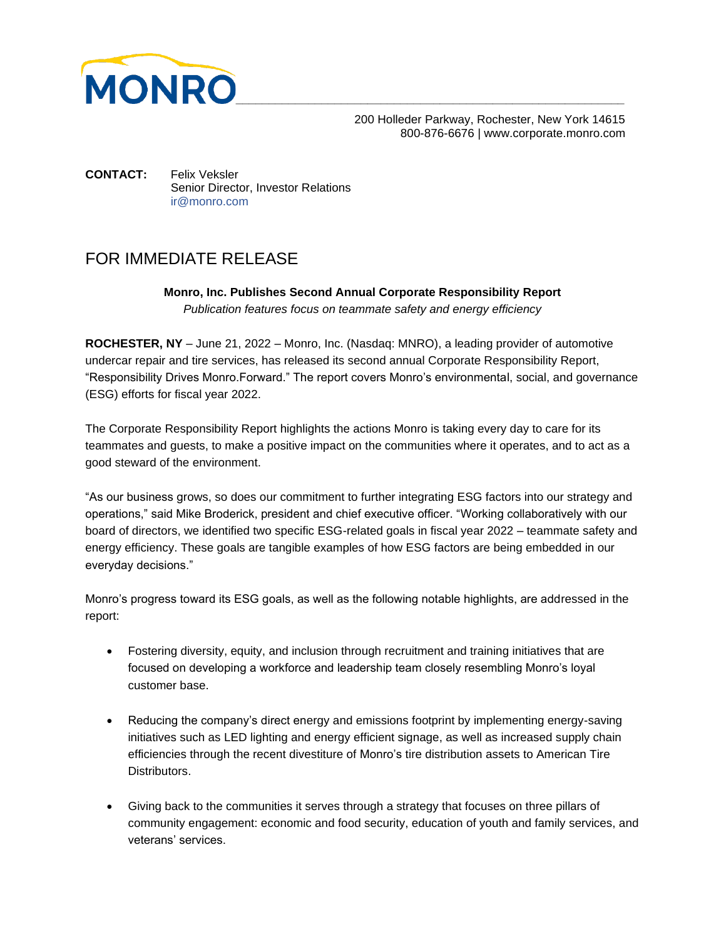

 200 Holleder Parkway, Rochester, New York 14615 800-876-6676 | www.corporate.monro.com

**CONTACT:** Felix Veksler Senior Director, Investor Relations [ir@monro.com](mailto:ir@monro.com)

## FOR IMMEDIATE RELEASE

## **Monro, Inc. Publishes Second Annual Corporate Responsibility Report**

*Publication features focus on teammate safety and energy efficiency*

**ROCHESTER, NY** – June 21, 2022 – Monro, Inc. (Nasdaq: MNRO), a leading provider of automotive undercar repair and tire services, has released its second annual Corporate Responsibility Report, "Responsibility Drives Monro.Forward." The report covers Monro's environmental, social, and governance (ESG) efforts for fiscal year 2022.

The Corporate Responsibility Report highlights the actions Monro is taking every day to care for its teammates and guests, to make a positive impact on the communities where it operates, and to act as a good steward of the environment.

"As our business grows, so does our commitment to further integrating ESG factors into our strategy and operations," said Mike Broderick, president and chief executive officer. "Working collaboratively with our board of directors, we identified two specific ESG-related goals in fiscal year 2022 – teammate safety and energy efficiency. These goals are tangible examples of how ESG factors are being embedded in our everyday decisions."

Monro's progress toward its ESG goals, as well as the following notable highlights, are addressed in the report:

- Fostering diversity, equity, and inclusion through recruitment and training initiatives that are focused on developing a workforce and leadership team closely resembling Monro's loyal customer base.
- Reducing the company's direct energy and emissions footprint by implementing energy-saving initiatives such as LED lighting and energy efficient signage, as well as increased supply chain efficiencies through the recent divestiture of Monro's tire distribution assets to American Tire Distributors.
- Giving back to the communities it serves through a strategy that focuses on three pillars of community engagement: economic and food security, education of youth and family services, and veterans' services.